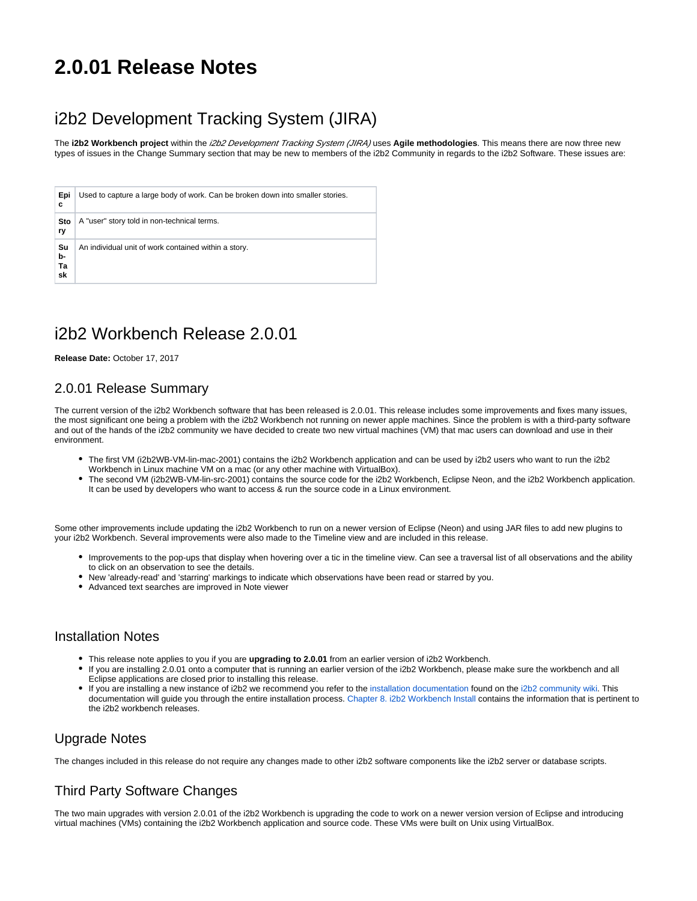# **2.0.01 Release Notes**

## i2b2 Development Tracking System (JIRA)

The **i2b2 Workbench project** within the i2b2 Development Tracking System (JIRA) uses **Agile methodologies**. This means there are now three new types of issues in the Change Summary section that may be new to members of the i2b2 Community in regards to the i2b2 Software. These issues are:

| Epi<br>с             | Used to capture a large body of work. Can be broken down into smaller stories. |
|----------------------|--------------------------------------------------------------------------------|
| Sto<br>ry            | A "user" story told in non-technical terms.                                    |
| Su<br>b-<br>Ta<br>sk | An individual unit of work contained within a story.                           |

## i2b2 Workbench Release 2.0.01

**Release Date:** October 17, 2017

## 2.0.01 Release Summary

The current version of the i2b2 Workbench software that has been released is 2.0.01. This release includes some improvements and fixes many issues, the most significant one being a problem with the i2b2 Workbench not running on newer apple machines. Since the problem is with a third-party software and out of the hands of the i2b2 community we have decided to create two new virtual machines (VM) that mac users can download and use in their environment.

- The first VM (i2b2WB-VM-lin-mac-2001) contains the i2b2 Workbench application and can be used by i2b2 users who want to run the i2b2 Workbench in Linux machine VM on a mac (or any other machine with VirtualBox).
- The second VM (i2b2WB-VM-lin-src-2001) contains the source code for the i2b2 Workbench, Eclipse Neon, and the i2b2 Workbench application. It can be used by developers who want to access & run the source code in a Linux environment.

Some other improvements include updating the i2b2 Workbench to run on a newer version of Eclipse (Neon) and using JAR files to add new plugins to your i2b2 Workbench. Several improvements were also made to the Timeline view and are included in this release.

- Improvements to the pop-ups that display when hovering over a tic in the timeline view. Can see a traversal list of all observations and the ability to click on an observation to see the details.
- New 'already-read' and 'starring' markings to indicate which observations have been read or starred by you.
- Advanced text searches are improved in Note viewer

### Installation Notes

- This release note applies to you if you are **upgrading to 2.0.01** from an earlier version of i2b2 Workbench.
- If you are installing 2.0.01 onto a computer that is running an earlier version of the i2b2 Workbench, please make sure the workbench and all Eclipse applications are closed prior to installing this release.
- If you are installing a new instance of i2b2 we recommend you refer to the [installation documentation](https://community.i2b2.org/wiki/display/getstarted/i2b2+Installation+Guide) found on the [i2b2 community wiki.](https://community.i2b2.org/wiki) This documentation will guide you through the entire installation process. [Chapter 8. i2b2 Workbench Install](https://community.i2b2.org/wiki/display/getstarted/Chapter+8.+i2b2+Workbench+Install) contains the information that is pertinent to the i2b2 workbench releases.

## Upgrade Notes

The changes included in this release do not require any changes made to other i2b2 software components like the i2b2 server or database scripts.

## Third Party Software Changes

The two main upgrades with version 2.0.01 of the i2b2 Workbench is upgrading the code to work on a newer version version of Eclipse and introducing virtual machines (VMs) containing the i2b2 Workbench application and source code. These VMs were built on Unix using VirtualBox.